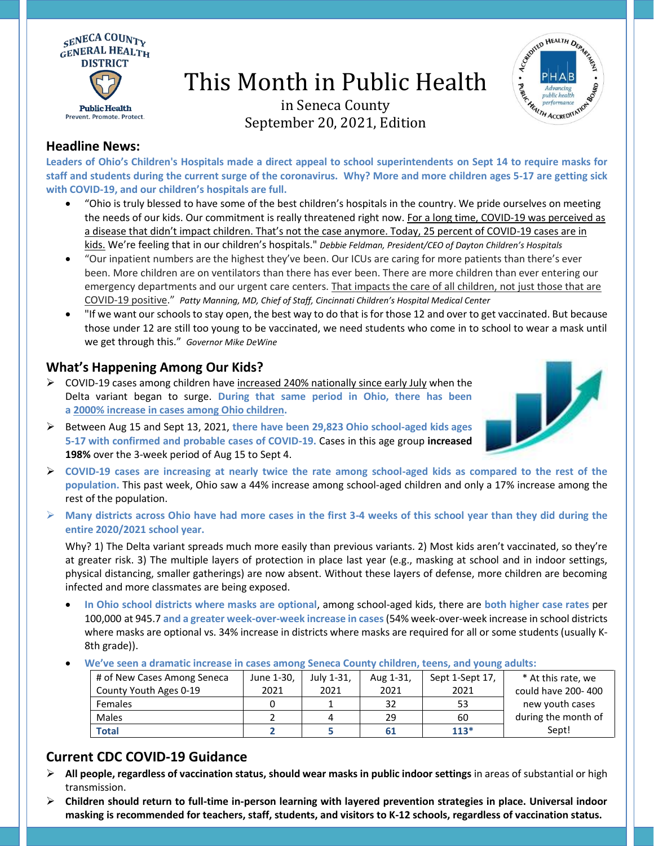

# This Month in Public Health



# in Seneca County September 20, 2021, Edition

#### **Headline News:**

**Leaders of Ohio's Children's Hospitals made a direct appeal to school superintendents on Sept 14 to require masks for staff and students during the current surge of the coronavirus. Why? More and more children ages 5-17 are getting sick with COVID-19, and our children's hospitals are full.**

- "Ohio is truly blessed to have some of the best children's hospitals in the country. We pride ourselves on meeting the needs of our kids. Our commitment is really threatened right now. For a long time, COVID-19 was perceived as a disease that didn't impact children. That's not the case anymore. Today, 25 percent of COVID-19 cases are in kids. We're feeling that in our children's hospitals." *Debbie Feldman, President/CEO of Dayton Children's Hospitals*
- "Our inpatient numbers are the highest they've been. Our ICUs are caring for more patients than there's ever been. More children are on ventilators than there has ever been. There are more children than ever entering our emergency departments and our urgent care centers. That impacts the care of all children, not just those that are COVID-19 positive." *Patty Manning, MD, Chief of Staff, Cincinnati Children's Hospital Medical Center*
- "If we want our schools to stay open, the best way to do that is for those 12 and over to get vaccinated. But because those under 12 are still too young to be vaccinated, we need students who come in to school to wear a mask until we get through this." *Governor Mike DeWine*

#### **What's Happening Among Our Kids?**

- $\triangleright$  COVID-19 cases among children have increased 240% nationally since early July when the Delta variant began to surge. **During that same period in Ohio, there has been a 2000% increase in cases among Ohio children.**
- 
- ➢ Between Aug 15 and Sept 13, 2021, **there have been 29,823 Ohio school-aged kids ages 5-17 with confirmed and probable cases of COVID-19.** Cases in this age group **increased 198%** over the 3-week period of Aug 15 to Sept 4.
- ➢ **COVID-19 cases are increasing at nearly twice the rate among school-aged kids as compared to the rest of the population.** This past week, Ohio saw a 44% increase among school-aged children and only a 17% increase among the rest of the population.
- ➢ **Many districts across Ohio have had more cases in the first 3-4 weeks of this school year than they did during the entire 2020/2021 school year.**

Why? 1) The Delta variant spreads much more easily than previous variants. 2) Most kids aren't vaccinated, so they're at greater risk. 3) The multiple layers of protection in place last year (e.g., masking at school and in indoor settings, physical distancing, smaller gatherings) are now absent. Without these layers of defense, more children are becoming infected and more classmates are being exposed.

- **In Ohio school districts where masks are optional**, among school-aged kids, there are **both higher case rates** per 100,000 at 945.7 **and a greater week-over-week increase in cases**(54% week-over-week increase in school districts where masks are optional vs. 34% increase in districts where masks are required for all or some students (usually K-8th grade)).
- **We've seen a dramatic increase in cases among Seneca County children, teens, and young adults:**

| # of New Cases Among Seneca | June 1-30. | Julv 1-31. | Aug 1-31, | Sept 1-Sept 17, | * At this rate, we  |
|-----------------------------|------------|------------|-----------|-----------------|---------------------|
| County Youth Ages 0-19      | 2021       | 2021       | 2021      | 2021            | could have 200-400  |
| <b>Females</b>              |            |            | 32        | 53              | new youth cases     |
| Males                       |            |            | 29        | 60              | during the month of |
| Total                       |            |            | 61        | $113*$          | Sept!               |

## **Current CDC COVID-19 Guidance**

- ➢ **All people, regardless of vaccination status, should wear [masks](https://www.cdc.gov/coronavirus/2019-ncov/prevent-getting-sick/about-face-coverings.html) in public indoor settings** in areas of substantial or high transmission.
- ➢ **Children should return to full-time in-person learning with layered prevention strategies in place. Universal indoor masking is recommended for teachers, staff, students, and visitors to K-12 schools, regardless of vaccination status.**